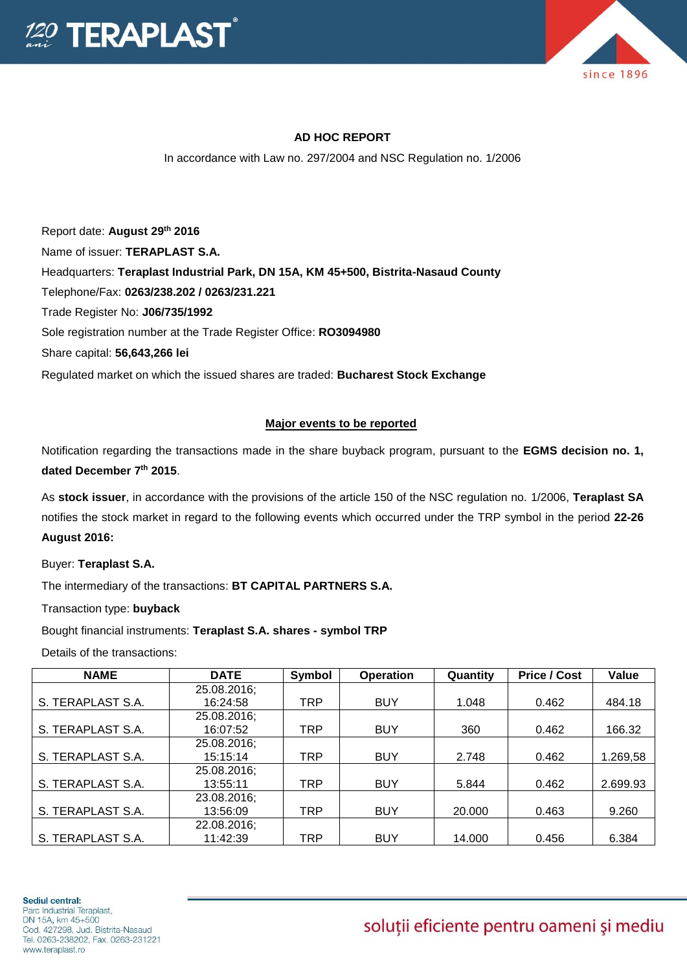



## **AD HOC REPORT**

In accordance with Law no. 297/2004 and NSC Regulation no. 1/2006

Report date: **August 29th 2016** Name of issuer: **TERAPLAST S.A.**  Headquarters: **Teraplast Industrial Park, DN 15A, KM 45+500, Bistrita-Nasaud County** Telephone/Fax: **0263/238.202 / 0263/231.221** Trade Register No: **J06/735/1992** Sole registration number at the Trade Register Office: **RO3094980** Share capital: **56,643,266 lei**  Regulated market on which the issued shares are traded: **Bucharest Stock Exchange**

## **Major events to be reported**

Notification regarding the transactions made in the share buyback program, pursuant to the **EGMS decision no. 1, dated December 7th 2015**.

As **stock issuer**, in accordance with the provisions of the article 150 of the NSC regulation no. 1/2006, **Teraplast SA** notifies the stock market in regard to the following events which occurred under the TRP symbol in the period **22-26 August 2016:**

Buyer: **Teraplast S.A.**

The intermediary of the transactions: **BT CAPITAL PARTNERS S.A.**

Transaction type: **buyback**

Bought financial instruments: **Teraplast S.A. shares - symbol TRP**

Details of the transactions:

| <b>NAME</b>       | <b>DATE</b> | Symbol     | <b>Operation</b> | Quantity | <b>Price / Cost</b> | Value    |
|-------------------|-------------|------------|------------------|----------|---------------------|----------|
|                   | 25.08.2016; |            |                  |          |                     |          |
| S. TERAPLAST S.A. | 16:24:58    | TRP        | <b>BUY</b>       | 1.048    | 0.462               | 484.18   |
|                   | 25.08.2016; |            |                  |          |                     |          |
| S. TERAPLAST S.A. | 16:07:52    | TRP        | <b>BUY</b>       | 360      | 0.462               | 166.32   |
|                   | 25.08.2016; |            |                  |          |                     |          |
| S. TERAPLAST S.A. | 15:15:14    | <b>TRP</b> | <b>BUY</b>       | 2.748    | 0.462               | 1.269,58 |
|                   | 25.08.2016; |            |                  |          |                     |          |
| S. TERAPLAST S.A. | 13:55:11    | TRP        | <b>BUY</b>       | 5.844    | 0.462               | 2.699.93 |
|                   | 23.08.2016; |            |                  |          |                     |          |
| S. TERAPLAST S.A. | 13:56:09    | <b>TRP</b> | <b>BUY</b>       | 20,000   | 0.463               | 9.260    |
|                   | 22.08.2016; |            |                  |          |                     |          |
| S. TERAPLAST S.A. | 11:42:39    | TRP        | <b>BUY</b>       | 14.000   | 0.456               | 6.384    |